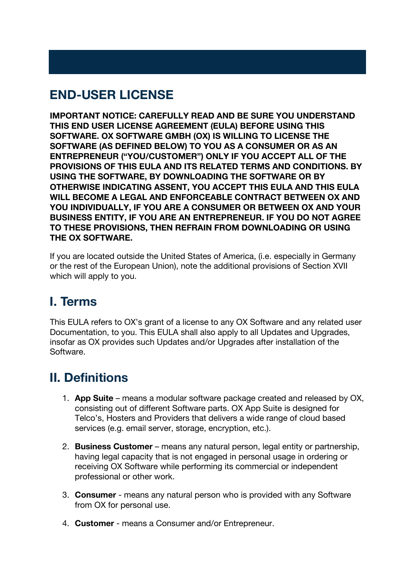# **END-USER LICENSE**

**IMPORTANT NOTICE: CAREFULLY READ AND BE SURE YOU UNDERSTAND THIS END USER LICENSE AGREEMENT (EULA) BEFORE USING THIS SOFTWARE. OX SOFTWARE GMBH (OX) IS WILLING TO LICENSE THE SOFTWARE (AS DEFINED BELOW) TO YOU AS A CONSUMER OR AS AN ENTREPRENEUR ("YOU/CUSTOMER") ONLY IF YOU ACCEPT ALL OF THE PROVISIONS OF THIS EULA AND ITS RELATED TERMS AND CONDITIONS. BY USING THE SOFTWARE, BY DOWNLOADING THE SOFTWARE OR BY OTHERWISE INDICATING ASSENT, YOU ACCEPT THIS EULA AND THIS EULA WILL BECOME A LEGAL AND ENFORCEABLE CONTRACT BETWEEN OX AND YOU INDIVIDUALLY, IF YOU ARE A CONSUMER OR BETWEEN OX AND YOUR BUSINESS ENTITY, IF YOU ARE AN ENTREPRENEUR. IF YOU DO NOT AGREE TO THESE PROVISIONS, THEN REFRAIN FROM DOWNLOADING OR USING THE OX SOFTWARE.**

If you are located outside the United States of America, (i.e. especially in Germany or the rest of the European Union), note the additional provisions of Section XVII which will apply to you.

# **I. Terms**

This EULA refers to OX's grant of a license to any OX Software and any related user Documentation, to you. This EULA shall also apply to all Updates and Upgrades, insofar as OX provides such Updates and/or Upgrades after installation of the Software.

# **II. Definitions**

- 1. **App Suite** means a modular software package created and released by OX, consisting out of different Software parts. OX App Suite is designed for Telco's, Hosters and Providers that delivers a wide range of cloud based services (e.g. email server, storage, encryption, etc.).
- 2. **Business Customer** means any natural person, legal entity or partnership, having legal capacity that is not engaged in personal usage in ordering or receiving OX Software while performing its commercial or independent professional or other work.
- 3. **Consumer** means any natural person who is provided with any Software from OX for personal use.
- 4. **Customer** means a Consumer and/or Entrepreneur.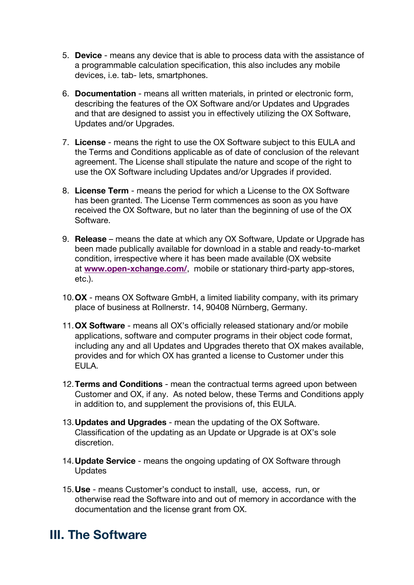- 5. **Device** means any device that is able to process data with the assistance of a programmable calculation specification, this also includes any mobile devices, i.e. tab- lets, smartphones.
- 6. **Documentation** means all written materials, in printed or electronic form, describing the features of the OX Software and/or Updates and Upgrades and that are designed to assist you in effectively utilizing the OX Software, Updates and/or Upgrades.
- 7. **License** means the right to use the OX Software subject to this EULA and the Terms and Conditions applicable as of date of conclusion of the relevant agreement. The License shall stipulate the nature and scope of the right to use the OX Software including Updates and/or Upgrades if provided.
- 8. **License Term** means the period for which a License to the OX Software has been granted. The License Term commences as soon as you have received the OX Software, but no later than the beginning of use of the OX Software.
- 9. **Release** means the date at which any OX Software, Update or Upgrade has been made publically available for download in a stable and ready-to-market condition, irrespective where it has been made available (OX website at **www.open-xchange.com/**, mobile or stationary third-party app-stores, etc.).
- 10.**OX** means OX Software GmbH, a limited liability company, with its primary place of business at Rollnerstr. 14, 90408 Nürnberg, Germany.
- 11.**OX Software** means all OX's officially released stationary and/or mobile applications, software and computer programs in their object code format, including any and all Updates and Upgrades thereto that OX makes available, provides and for which OX has granted a license to Customer under this EULA.
- 12.**Terms and Conditions** mean the contractual terms agreed upon between Customer and OX, if any. As noted below, these Terms and Conditions apply in addition to, and supplement the provisions of, this EULA.
- 13.**Updates and Upgrades** mean the updating of the OX Software. Classification of the updating as an Update or Upgrade is at OX's sole discretion.
- 14.**Update Service** means the ongoing updating of OX Software through **Updates**
- 15.**Use** means Customer's conduct to install, use, access, run, or otherwise read the Software into and out of memory in accordance with the documentation and the license grant from OX.

### **III. The Software**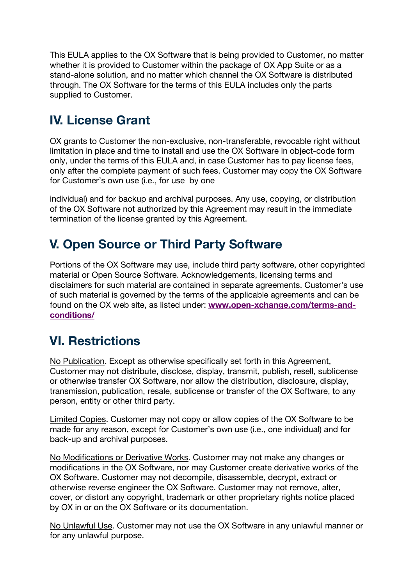This EULA applies to the OX Software that is being provided to Customer, no matter whether it is provided to Customer within the package of OX App Suite or as a stand-alone solution, and no matter which channel the OX Software is distributed through. The OX Software for the terms of this EULA includes only the parts supplied to Customer.

# **IV. License Grant**

OX grants to Customer the non-exclusive, non-transferable, revocable right without limitation in place and time to install and use the OX Software in object-code form only, under the terms of this EULA and, in case Customer has to pay license fees, only after the complete payment of such fees. Customer may copy the OX Software for Customer's own use (i.e., for use by one

individual) and for backup and archival purposes. Any use, copying, or distribution of the OX Software not authorized by this Agreement may result in the immediate termination of the license granted by this Agreement.

# **V. Open Source or Third Party Software**

Portions of the OX Software may use, include third party software, other copyrighted material or Open Source Software. Acknowledgements, licensing terms and disclaimers for such material are contained in separate agreements. Customer's use of such material is governed by the terms of the applicable agreements and can be found on the OX web site, as listed under: **www.open-xchange.com/terms-andconditions/**

### **VI. Restrictions**

No Publication. Except as otherwise specifically set forth in this Agreement, Customer may not distribute, disclose, display, transmit, publish, resell, sublicense or otherwise transfer OX Software, nor allow the distribution, disclosure, display, transmission, publication, resale, sublicense or transfer of the OX Software, to any person, entity or other third party.

Limited Copies. Customer may not copy or allow copies of the OX Software to be made for any reason, except for Customer's own use (i.e., one individual) and for back-up and archival purposes.

No Modifications or Derivative Works. Customer may not make any changes or modifications in the OX Software, nor may Customer create derivative works of the OX Software. Customer may not decompile, disassemble, decrypt, extract or otherwise reverse engineer the OX Software. Customer may not remove, alter, cover, or distort any copyright, trademark or other proprietary rights notice placed by OX in or on the OX Software or its documentation.

No Unlawful Use. Customer may not use the OX Software in any unlawful manner or for any unlawful purpose.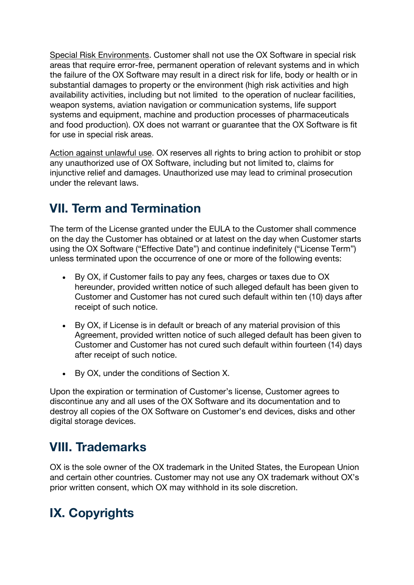Special Risk Environments. Customer shall not use the OX Software in special risk areas that require error-free, permanent operation of relevant systems and in which the failure of the OX Software may result in a direct risk for life, body or health or in substantial damages to property or the environment (high risk activities and high availability activities, including but not limited to the operation of nuclear facilities, weapon systems, aviation navigation or communication systems, life support systems and equipment, machine and production processes of pharmaceuticals and food production). OX does not warrant or guarantee that the OX Software is fit for use in special risk areas.

Action against unlawful use. OX reserves all rights to bring action to prohibit or stop any unauthorized use of OX Software, including but not limited to, claims for injunctive relief and damages. Unauthorized use may lead to criminal prosecution under the relevant laws.

#### **VII. Term and Termination**

The term of the License granted under the EULA to the Customer shall commence on the day the Customer has obtained or at latest on the day when Customer starts using the OX Software ("Effective Date") and continue indefinitely ("License Term") unless terminated upon the occurrence of one or more of the following events:

- By OX, if Customer fails to pay any fees, charges or taxes due to OX hereunder, provided written notice of such alleged default has been given to Customer and Customer has not cured such default within ten (10) days after receipt of such notice.
- By OX, if License is in default or breach of any material provision of this Agreement, provided written notice of such alleged default has been given to Customer and Customer has not cured such default within fourteen (14) days after receipt of such notice.
- By OX, under the conditions of Section X.

Upon the expiration or termination of Customer's license, Customer agrees to discontinue any and all uses of the OX Software and its documentation and to destroy all copies of the OX Software on Customer's end devices, disks and other digital storage devices.

#### **VIII. Trademarks**

OX is the sole owner of the OX trademark in the United States, the European Union and certain other countries. Customer may not use any OX trademark without OX's prior written consent, which OX may withhold in its sole discretion.

### **IX. Copyrights**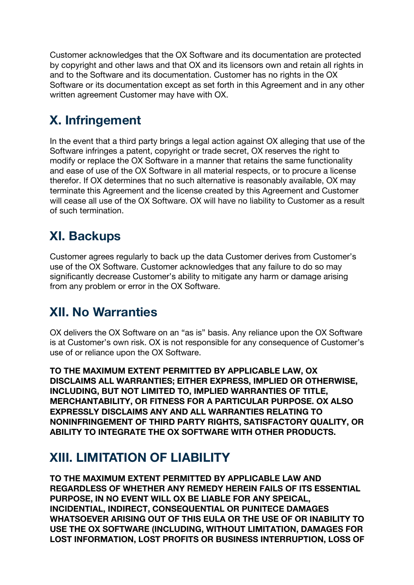Customer acknowledges that the OX Software and its documentation are protected by copyright and other laws and that OX and its licensors own and retain all rights in and to the Software and its documentation. Customer has no rights in the OX Software or its documentation except as set forth in this Agreement and in any other written agreement Customer may have with OX.

# **X. Infringement**

In the event that a third party brings a legal action against OX alleging that use of the Software infringes a patent, copyright or trade secret, OX reserves the right to modify or replace the OX Software in a manner that retains the same functionality and ease of use of the OX Software in all material respects, or to procure a license therefor. If OX determines that no such alternative is reasonably available, OX may terminate this Agreement and the license created by this Agreement and Customer will cease all use of the OX Software. OX will have no liability to Customer as a result of such termination.

# **XI. Backups**

Customer agrees regularly to back up the data Customer derives from Customer's use of the OX Software. Customer acknowledges that any failure to do so may significantly decrease Customer's ability to mitigate any harm or damage arising from any problem or error in the OX Software.

### **XII. No Warranties**

OX delivers the OX Software on an "as is" basis. Any reliance upon the OX Software is at Customer's own risk. OX is not responsible for any consequence of Customer's use of or reliance upon the OX Software.

**TO THE MAXIMUM EXTENT PERMITTED BY APPLICABLE LAW, OX DISCLAIMS ALL WARRANTIES; EITHER EXPRESS, IMPLIED OR OTHERWISE, INCLUDING, BUT NOT LIMITED TO, IMPLIED WARRANTIES OF TITLE, MERCHANTABILITY, OR FITNESS FOR A PARTICULAR PURPOSE. OX ALSO EXPRESSLY DISCLAIMS ANY AND ALL WARRANTIES RELATING TO NONINFRINGEMENT OF THIRD PARTY RIGHTS, SATISFACTORY QUALITY, OR ABILITY TO INTEGRATE THE OX SOFTWARE WITH OTHER PRODUCTS.**

### **XIII. LIMITATION OF LIABILITY**

**TO THE MAXIMUM EXTENT PERMITTED BY APPLICABLE LAW AND REGARDLESS OF WHETHER ANY REMEDY HEREIN FAILS OF ITS ESSENTIAL PURPOSE, IN NO EVENT WILL OX BE LIABLE FOR ANY SPEICAL, INCIDENTIAL, INDIRECT, CONSEQUENTIAL OR PUNITECE DAMAGES WHATSOEVER ARISING OUT OF THIS EULA OR THE USE OF OR INABILITY TO USE THE OX SOFTWARE (INCLUDING, WITHOUT LIMITATION, DAMAGES FOR LOST INFORMATION, LOST PROFITS OR BUSINESS INTERRUPTION, LOSS OF**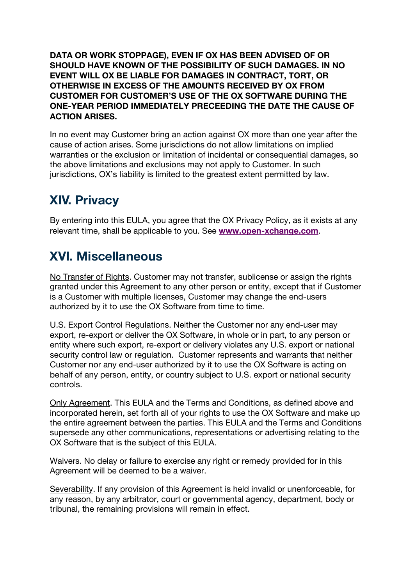**DATA OR WORK STOPPAGE), EVEN IF OX HAS BEEN ADVISED OF OR SHOULD HAVE KNOWN OF THE POSSIBILITY OF SUCH DAMAGES. IN NO EVENT WILL OX BE LIABLE FOR DAMAGES IN CONTRACT, TORT, OR OTHERWISE IN EXCESS OF THE AMOUNTS RECEIVED BY OX FROM CUSTOMER FOR CUSTOMER'S USE OF THE OX SOFTWARE DURING THE ONE-YEAR PERIOD IMMEDIATELY PRECEEDING THE DATE THE CAUSE OF ACTION ARISES.**

In no event may Customer bring an action against OX more than one year after the cause of action arises. Some jurisdictions do not allow limitations on implied warranties or the exclusion or limitation of incidental or consequential damages, so the above limitations and exclusions may not apply to Customer. In such jurisdictions, OX's liability is limited to the greatest extent permitted by law.

# **XIV. Privacy**

By entering into this EULA, you agree that the OX Privacy Policy, as it exists at any relevant time, shall be applicable to you. See **www.open-xchange.com**.

# **XVI. Miscellaneous**

No Transfer of Rights. Customer may not transfer, sublicense or assign the rights granted under this Agreement to any other person or entity, except that if Customer is a Customer with multiple licenses, Customer may change the end-users authorized by it to use the OX Software from time to time.

U.S. Export Control Regulations. Neither the Customer nor any end-user may export, re-export or deliver the OX Software, in whole or in part, to any person or entity where such export, re-export or delivery violates any U.S. export or national security control law or regulation. Customer represents and warrants that neither Customer nor any end-user authorized by it to use the OX Software is acting on behalf of any person, entity, or country subject to U.S. export or national security controls.

Only Agreement. This EULA and the Terms and Conditions, as defined above and incorporated herein, set forth all of your rights to use the OX Software and make up the entire agreement between the parties. This EULA and the Terms and Conditions supersede any other communications, representations or advertising relating to the OX Software that is the subject of this EULA.

Waivers. No delay or failure to exercise any right or remedy provided for in this Agreement will be deemed to be a waiver.

Severability. If any provision of this Agreement is held invalid or unenforceable, for any reason, by any arbitrator, court or governmental agency, department, body or tribunal, the remaining provisions will remain in effect.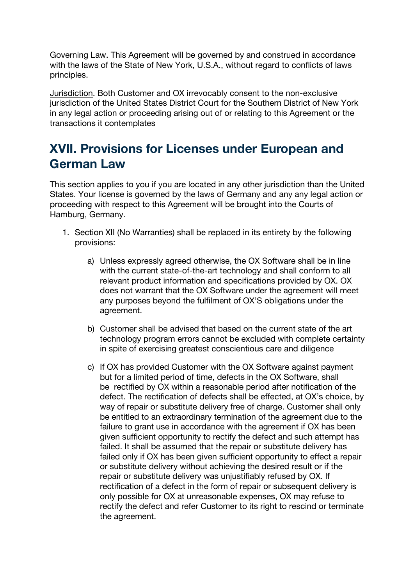Governing Law. This Agreement will be governed by and construed in accordance with the laws of the State of New York, U.S.A., without regard to conflicts of laws principles.

Jurisdiction. Both Customer and OX irrevocably consent to the non-exclusive jurisdiction of the United States District Court for the Southern District of New York in any legal action or proceeding arising out of or relating to this Agreement or the transactions it contemplates

#### **XVII. Provisions for Licenses under European and German Law**

This section applies to you if you are located in any other jurisdiction than the United States. Your license is governed by the laws of Germany and any any legal action or proceeding with respect to this Agreement will be brought into the Courts of Hamburg, Germany.

- 1. Section XII (No Warranties) shall be replaced in its entirety by the following provisions:
	- a) Unless expressly agreed otherwise, the OX Software shall be in line with the current state-of-the-art technology and shall conform to all relevant product information and specifications provided by OX. OX does not warrant that the OX Software under the agreement will meet any purposes beyond the fulfilment of OX'S obligations under the agreement.
	- b) Customer shall be advised that based on the current state of the art technology program errors cannot be excluded with complete certainty in spite of exercising greatest conscientious care and diligence
	- c) If OX has provided Customer with the OX Software against payment but for a limited period of time, defects in the OX Software, shall be rectified by OX within a reasonable period after notification of the defect. The rectification of defects shall be effected, at OX's choice, by way of repair or substitute delivery free of charge. Customer shall only be entitled to an extraordinary termination of the agreement due to the failure to grant use in accordance with the agreement if OX has been given sufficient opportunity to rectify the defect and such attempt has failed. It shall be assumed that the repair or substitute delivery has failed only if OX has been given sufficient opportunity to effect a repair or substitute delivery without achieving the desired result or if the repair or substitute delivery was unjustifiably refused by OX. If rectification of a defect in the form of repair or subsequent delivery is only possible for OX at unreasonable expenses, OX may refuse to rectify the defect and refer Customer to its right to rescind or terminate the agreement.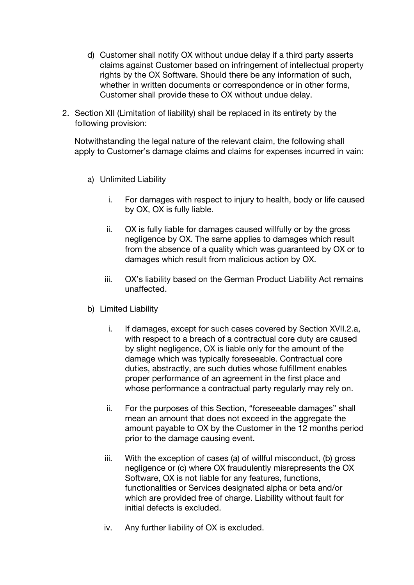- d) Customer shall notify OX without undue delay if a third party asserts claims against Customer based on infringement of intellectual property rights by the OX Software. Should there be any information of such, whether in written documents or correspondence or in other forms, Customer shall provide these to OX without undue delay.
- 2. Section XII (Limitation of liability) shall be replaced in its entirety by the following provision:

Notwithstanding the legal nature of the relevant claim, the following shall apply to Customer's damage claims and claims for expenses incurred in vain:

- a) Unlimited Liability
	- i. For damages with respect to injury to health, body or life caused by OX, OX is fully liable.
	- ii. OX is fully liable for damages caused willfully or by the gross negligence by OX. The same applies to damages which result from the absence of a quality which was guaranteed by OX or to damages which result from malicious action by OX.
	- iii. OX's liability based on the German Product Liability Act remains unaffected.
- b) Limited Liability
	- i. If damages, except for such cases covered by Section XVII.2.a, with respect to a breach of a contractual core duty are caused by slight negligence, OX is liable only for the amount of the damage which was typically foreseeable. Contractual core duties, abstractly, are such duties whose fulfillment enables proper performance of an agreement in the first place and whose performance a contractual party regularly may rely on.
	- ii. For the purposes of this Section, "foreseeable damages" shall mean an amount that does not exceed in the aggregate the amount payable to OX by the Customer in the 12 months period prior to the damage causing event.
	- iii. With the exception of cases (a) of willful misconduct, (b) gross negligence or (c) where OX fraudulently misrepresents the OX Software, OX is not liable for any features, functions, functionalities or Services designated alpha or beta and/or which are provided free of charge. Liability without fault for initial defects is excluded.
	- iv. Any further liability of OX is excluded.